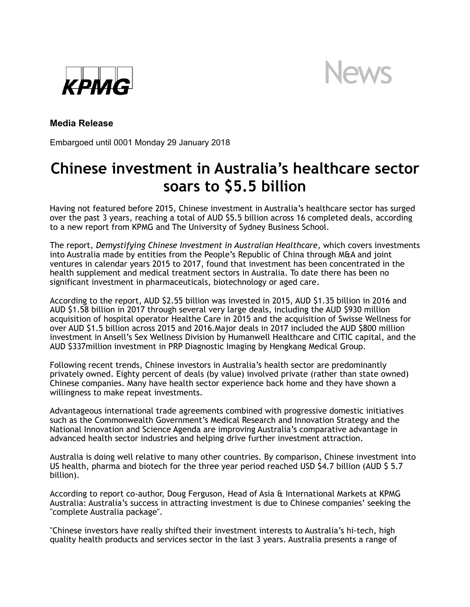



# **Media Release**

Embargoed until 0001 Monday 29 January 2018

# **Chinese investment in Australia's healthcare sector soars to \$5.5 billion**

Having not featured before 2015, Chinese investment in Australia's healthcare sector has surged over the past 3 years, reaching a total of AUD \$5.5 billion across 16 completed deals, according to a new report from KPMG and The University of Sydney Business School.

The report, *Demystifying Chinese Investment in Australian Healthcare*, which covers investments into Australia made by entities from the People's Republic of China through M&A and joint ventures in calendar years 2015 to 2017, found that investment has been concentrated in the health supplement and medical treatment sectors in Australia. To date there has been no significant investment in pharmaceuticals, biotechnology or aged care.

According to the report, AUD \$2.55 billion was invested in 2015, AUD \$1.35 billion in 2016 and AUD \$1.58 billion in 2017 through several very large deals, including the AUD \$930 million acquisition of hospital operator Healthe Care in 2015 and the acquisition of Swisse Wellness for over AUD \$1.5 billion across 2015 and 2016.Major deals in 2017 included the AUD \$800 million investment in Ansell's Sex Wellness Division by Humanwell Healthcare and CITIC capital, and the AUD \$337million investment in PRP Diagnostic Imaging by Hengkang Medical Group.

Following recent trends, Chinese investors in Australia's health sector are predominantly privately owned. Eighty percent of deals (by value) involved private (rather than state owned) Chinese companies. Many have health sector experience back home and they have shown a willingness to make repeat investments.

Advantageous international trade agreements combined with progressive domestic initiatives such as the Commonwealth Government's Medical Research and Innovation Strategy and the National Innovation and Science Agenda are improving Australia's comparative advantage in advanced health sector industries and helping drive further investment attraction.

Australia is doing well relative to many other countries. By comparison, Chinese investment into US health, pharma and biotech for the three year period reached USD \$4.7 billion (AUD \$ 5.7 billion).

According to report co-author, Doug Ferguson, Head of Asia & International Markets at KPMG Australia: Australia's success in attracting investment is due to Chinese companies' seeking the "complete Australia package".

"Chinese investors have really shifted their investment interests to Australia's hi-tech, high quality health products and services sector in the last 3 years. Australia presents a range of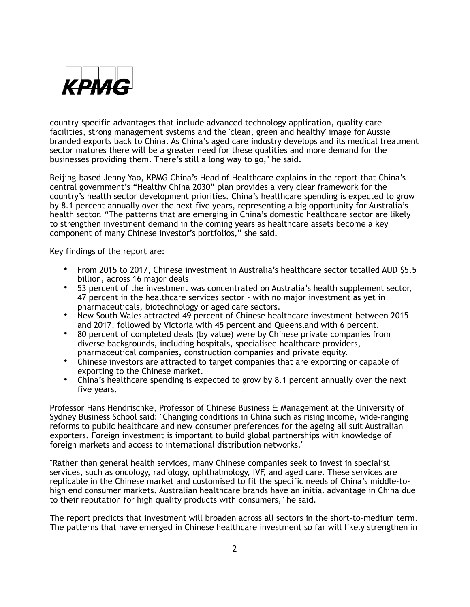

country-specific advantages that include advanced technology application, quality care facilities, strong management systems and the 'clean, green and healthy' image for Aussie branded exports back to China. As China's aged care industry develops and its medical treatment sector matures there will be a greater need for these qualities and more demand for the businesses providing them. There's still a long way to go," he said.

Beijing-based Jenny Yao, KPMG China's Head of Healthcare explains in the report that China's central government's "Healthy China 2030" plan provides a very clear framework for the country's health sector development priorities. China's healthcare spending is expected to grow by 8.1 percent annually over the next five years, representing a big opportunity for Australia's health sector. "The patterns that are emerging in China's domestic healthcare sector are likely to strengthen investment demand in the coming years as healthcare assets become a key component of many Chinese investor's portfolios," she said.

Key findings of the report are:

- From 2015 to 2017, Chinese investment in Australia's healthcare sector totalled AUD \$5.5 billion, across 16 major deals
- 53 percent of the investment was concentrated on Australia's health supplement sector, 47 percent in the healthcare services sector - with no major investment as yet in pharmaceuticals, biotechnology or aged care sectors.
- New South Wales attracted 49 percent of Chinese healthcare investment between 2015 and 2017, followed by Victoria with 45 percent and Queensland with 6 percent.
- 80 percent of completed deals (by value) were by Chinese private companies from diverse backgrounds, including hospitals, specialised healthcare providers, pharmaceutical companies, construction companies and private equity.
- Chinese investors are attracted to target companies that are exporting or capable of exporting to the Chinese market.
- China's healthcare spending is expected to grow by 8.1 percent annually over the next five years.

Professor Hans Hendrischke, Professor of Chinese Business & Management at the University of Sydney Business School said: "Changing conditions in China such as rising income, wide-ranging reforms to public healthcare and new consumer preferences for the ageing all suit Australian exporters. Foreign investment is important to build global partnerships with knowledge of foreign markets and access to international distribution networks."

"Rather than general health services, many Chinese companies seek to invest in specialist services, such as oncology, radiology, ophthalmology, IVF, and aged care. These services are replicable in the Chinese market and customised to fit the specific needs of China's middle-tohigh end consumer markets. Australian healthcare brands have an initial advantage in China due to their reputation for high quality products with consumers," he said.

The report predicts that investment will broaden across all sectors in the short-to-medium term. The patterns that have emerged in Chinese healthcare investment so far will likely strengthen in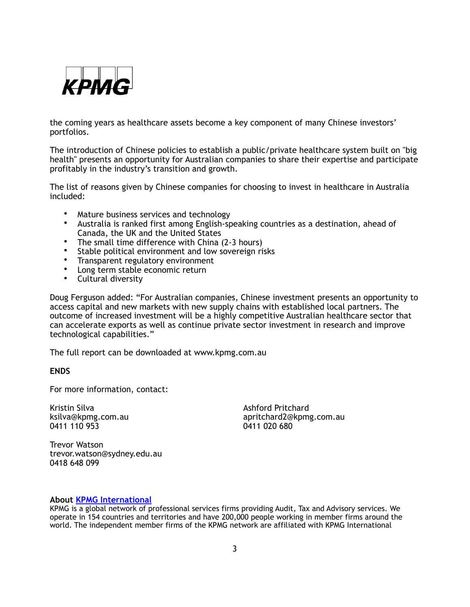

the coming years as healthcare assets become a key component of many Chinese investors' portfolios.

The introduction of Chinese policies to establish a public/private healthcare system built on "big health" presents an opportunity for Australian companies to share their expertise and participate profitably in the industry's transition and growth.

The list of reasons given by Chinese companies for choosing to invest in healthcare in Australia included:

- Mature business services and technology
- Australia is ranked first among English-speaking countries as a destination, ahead of Canada, the UK and the United States
- The small time difference with China (2-3 hours)
- Stable political environment and low sovereign risks
- Transparent regulatory environment
- Long term stable economic return
- Cultural diversity

Doug Ferguson added: "For Australian companies, Chinese investment presents an opportunity to access capital and new markets with new supply chains with established local partners. The outcome of increased investment will be a highly competitive Australian healthcare sector that can accelerate exports as well as continue private sector investment in research and improve technological capabilities."

The full report can be downloaded at www.kpmg.com.au

## **ENDS**

For more information, contact:

Kristin Silva Ashford Pritchard

ksilva@kpmg.com.au apritchard2@kpmg.com.au apritchard2@kpmg.com.au apritchard2@kpmg.com.au apritchard2 0411 020 680

Trevor Watson trevor.watson@sydney.edu.au 0418 648 099

### **About [KPMG International](https://home.kpmg.com/xx/en/home.html)**

KPMG is a global network of professional services firms providing Audit, Tax and Advisory services. We operate in 154 countries and territories and have 200,000 people working in member firms around the world. The independent member firms of the KPMG network are affiliated with KPMG International